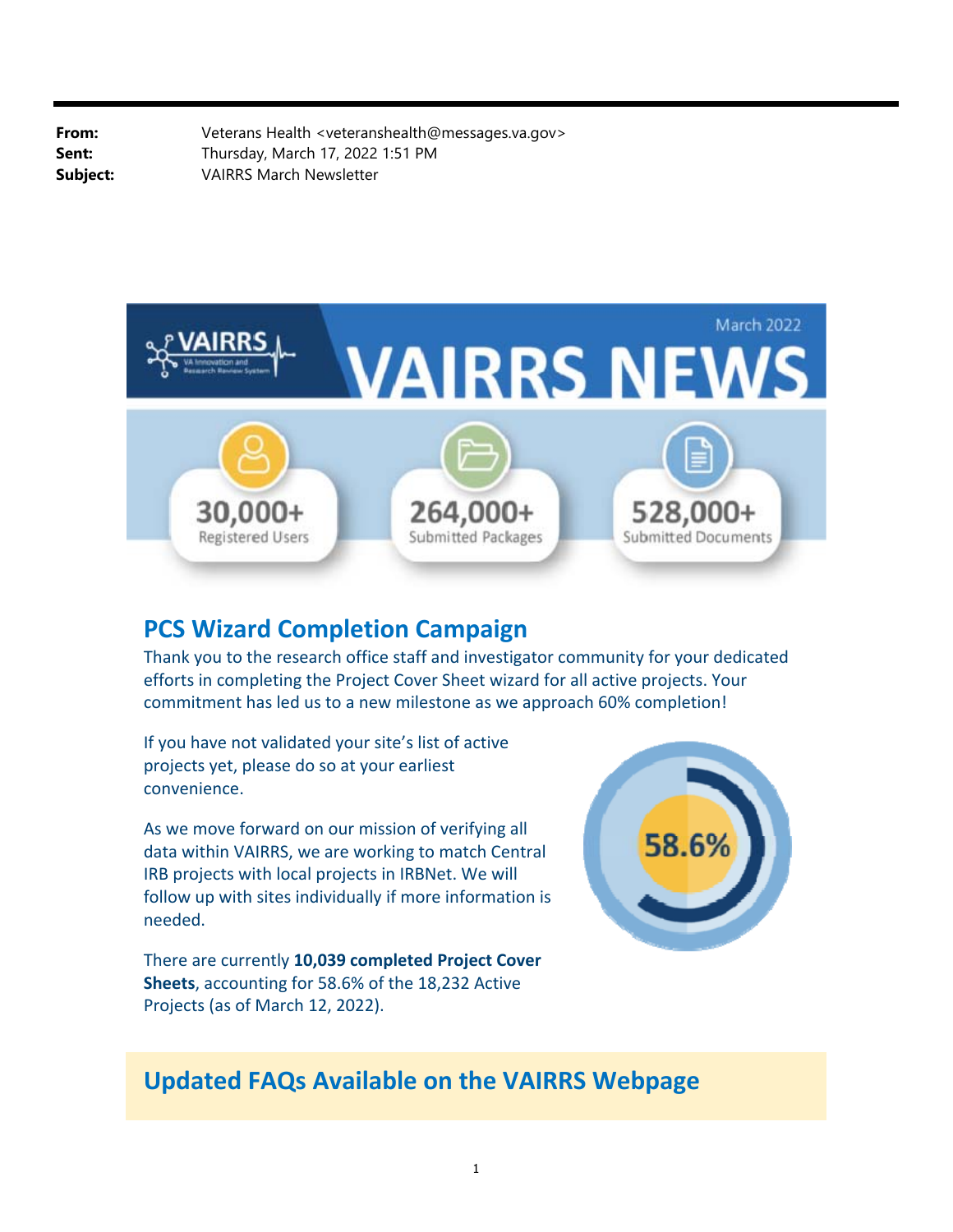**From:** Veterans Health <veteranshealth@messages.va.gov> **Sent:** Thursday, March 17, 2022 1:51 PM **Subject:** VAIRRS March Newsletter



## **PCS Wizard Completion Campaign**

Thank you to the research office staff and investigator community for your dedicated efforts in completing the Project Cover Sheet wizard for all active projects. Your commitment has led us to a new milestone as we approach 60% completion!

If you have not validated your site's list of active projects yet, please do so at your earliest convenience.

As we move forward on our mission of verifying all data within VAIRRS, we are working to match Central IRB projects with local projects in IRBNet. We will follow up with sites individually if more information is needed.

There are currently **10,039 completed Project Cover Sheets**, accounting for 58.6% of the 18,232 Active Projects (as of March 12, 2022).



# **Updated FAQs Available on the VAIRRS Webpage**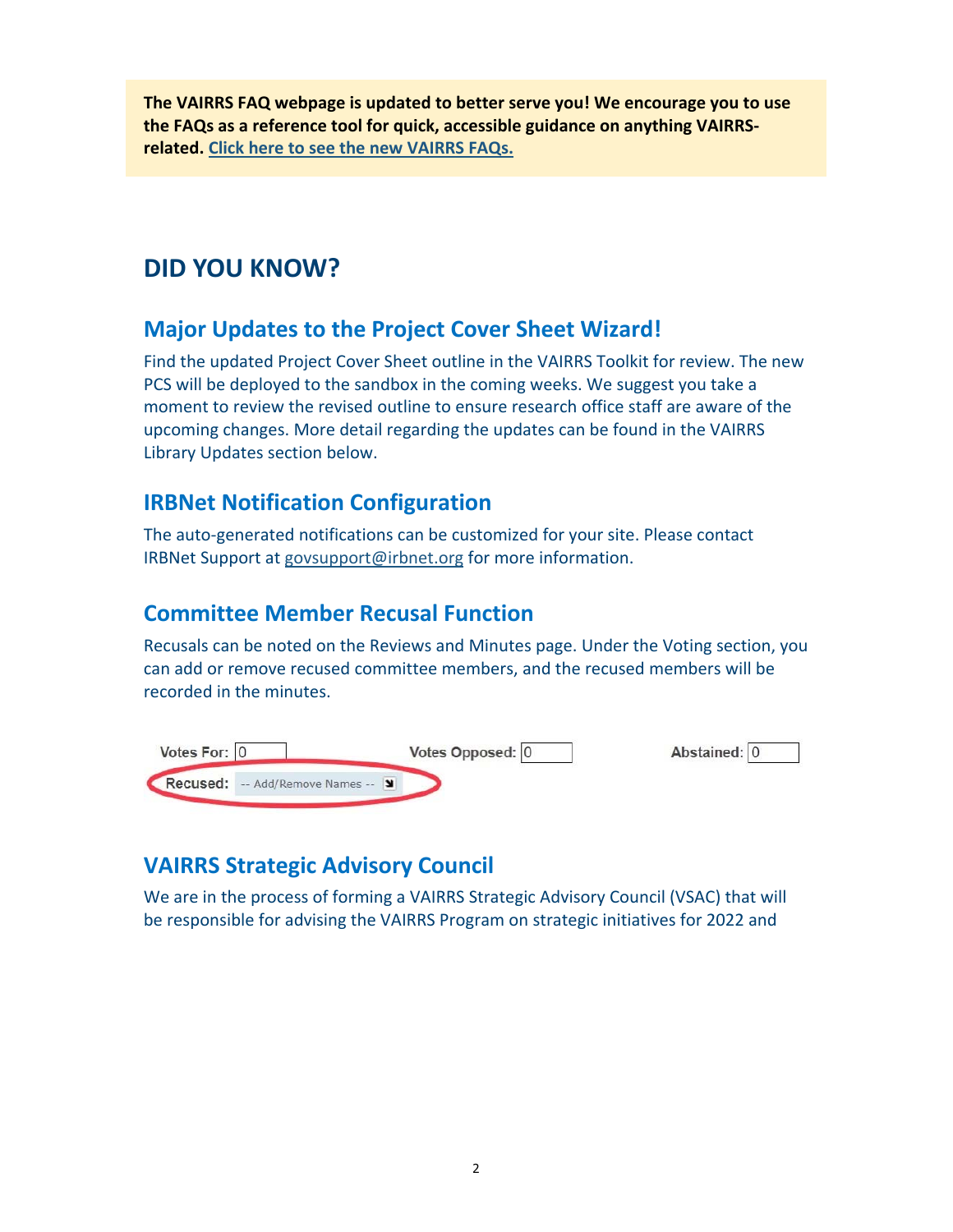**The VAIRRS FAQ webpage is updated to better serve you! We encourage you to use the FAQs as a reference tool for quick, accessible guidance on anything VAIRRS‐ related. Click here to see the new VAIRRS FAQs.**

# **DID YOU KNOW?**

## **Major Updates to the Project Cover Sheet Wizard!**

Find the updated Project Cover Sheet outline in the VAIRRS Toolkit for review. The new PCS will be deployed to the sandbox in the coming weeks. We suggest you take a moment to review the revised outline to ensure research office staff are aware of the upcoming changes. More detail regarding the updates can be found in the VAIRRS Library Updates section below.

## **IRBNet Notification Configuration**

The auto‐generated notifications can be customized for your site. Please contact IRBNet Support at [govsupport@irbnet.org](mailto:govsupport@irbnet.org) for more information.

## **Committee Member Recusal Function**

Recusals can be noted on the Reviews and Minutes page. Under the Voting section, you can add or remove recused committee members, and the recused members will be recorded in the minutes.



## **VAIRRS Strategic Advisory Council**

We are in the process of forming a VAIRRS Strategic Advisory Council (VSAC) that will be responsible for advising the VAIRRS Program on strategic initiatives for 2022 and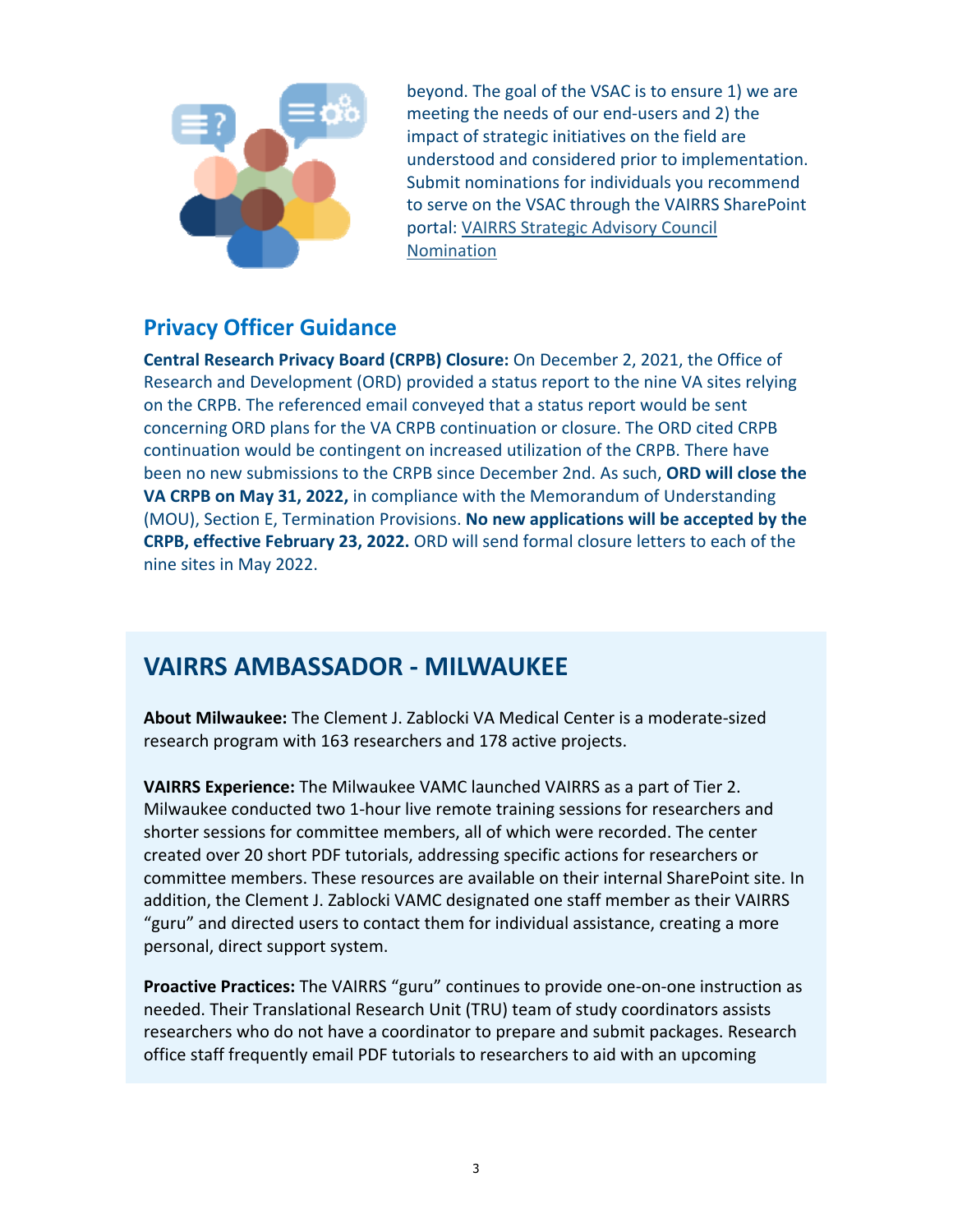

beyond. The goal of the VSAC is to ensure 1) we are meeting the needs of our end‐users and 2) the impact of strategic initiatives on the field are understood and considered prior to implementation. Submit nominations for individuals you recommend to serve on the VSAC through the VAIRRS SharePoint portal: VAIRRS Strategic Advisory Council Nomination

## **Privacy Officer Guidance**

**Central Research Privacy Board (CRPB) Closure:** On December 2, 2021, the Office of Research and Development (ORD) provided a status report to the nine VA sites relying on the CRPB. The referenced email conveyed that a status report would be sent concerning ORD plans for the VA CRPB continuation or closure. The ORD cited CRPB continuation would be contingent on increased utilization of the CRPB. There have been no new submissions to the CRPB since December 2nd. As such, **ORD will close the VA CRPB on May 31, 2022,** in compliance with the Memorandum of Understanding (MOU), Section E, Termination Provisions. **No new applications will be accepted by the CRPB, effective February 23, 2022.** ORD will send formal closure letters to each of the nine sites in May 2022.

## **VAIRRS AMBASSADOR ‐ MILWAUKEE**

**About Milwaukee:** The Clement J. Zablocki VA Medical Center is a moderate‐sized research program with 163 researchers and 178 active projects.

**VAIRRS Experience:** The Milwaukee VAMC launched VAIRRS as a part of Tier 2. Milwaukee conducted two 1‐hour live remote training sessions for researchers and shorter sessions for committee members, all of which were recorded. The center created over 20 short PDF tutorials, addressing specific actions for researchers or committee members. These resources are available on their internal SharePoint site. In addition, the Clement J. Zablocki VAMC designated one staff member as their VAIRRS "guru" and directed users to contact them for individual assistance, creating a more personal, direct support system.

**Proactive Practices:** The VAIRRS "guru" continues to provide one-on-one instruction as needed. Their Translational Research Unit (TRU) team of study coordinators assists researchers who do not have a coordinator to prepare and submit packages. Research office staff frequently email PDF tutorials to researchers to aid with an upcoming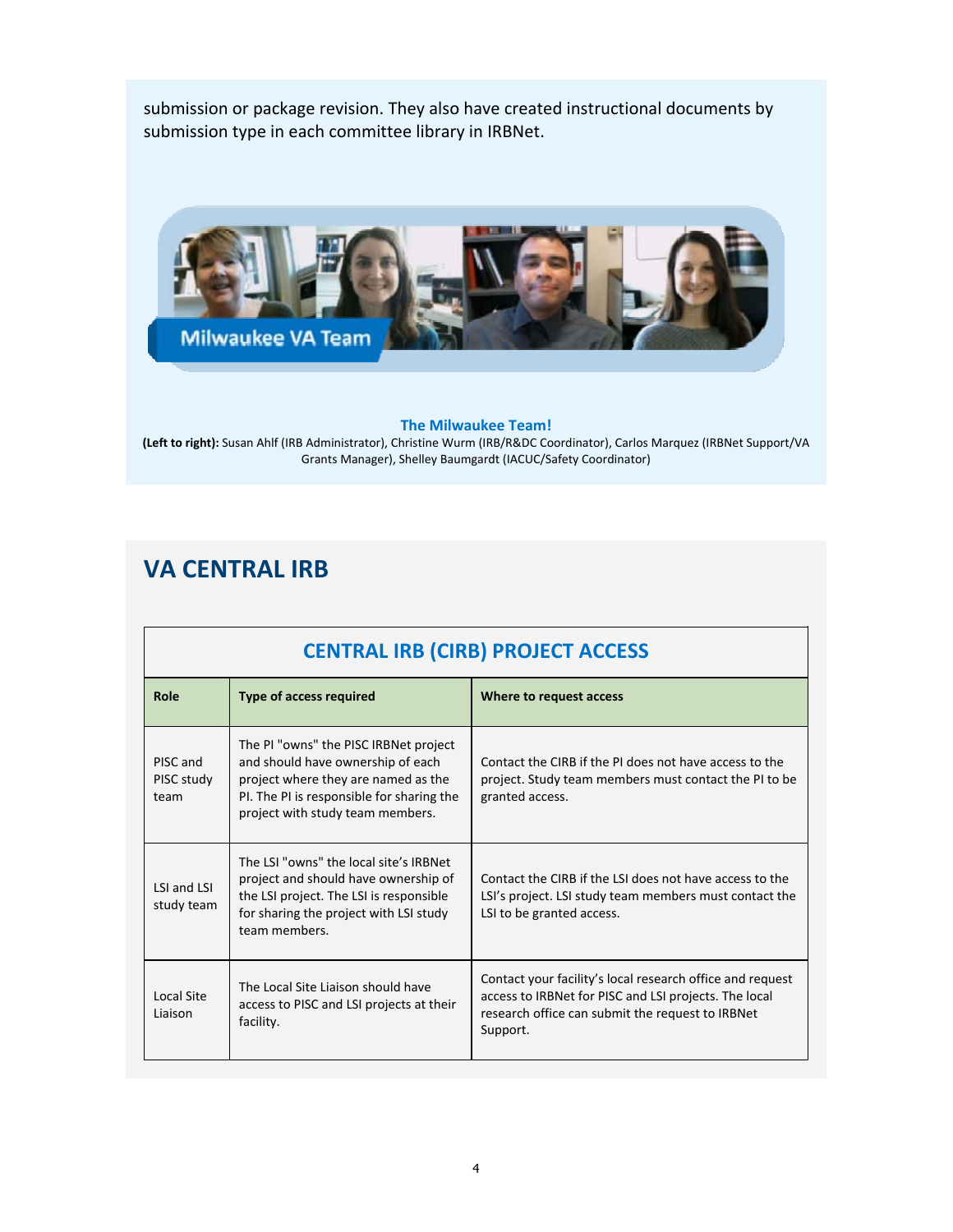submission or package revision. They also have created instructional documents by submission type in each committee library in IRBNet.



#### **The Milwaukee Team!**

 Grants Manager), Shelley Baumgardt (IACUC/Safety Coordinator) **(Left to right):** Susan Ahlf (IRB Administrator), Christine Wurm (IRB/R&DC Coordinator), Carlos Marquez (IRBNet Support/VA

## **VA CENTRAL IRB**

| CENTING THE (CINE) I ROJECT ACCESS |                                                                                                                                                                                                    |                                                                                                                                                                                    |  |  |  |
|------------------------------------|----------------------------------------------------------------------------------------------------------------------------------------------------------------------------------------------------|------------------------------------------------------------------------------------------------------------------------------------------------------------------------------------|--|--|--|
| Role                               | <b>Type of access required</b>                                                                                                                                                                     | Where to request access                                                                                                                                                            |  |  |  |
| PISC and<br>PISC study<br>team     | The PI "owns" the PISC IRBNet project<br>and should have ownership of each<br>project where they are named as the<br>PI. The PI is responsible for sharing the<br>project with study team members. | Contact the CIRB if the PI does not have access to the<br>project. Study team members must contact the PI to be<br>granted access.                                                 |  |  |  |
| LSI and LSI<br>study team          | The LSL "owns" the local site's IRBNet<br>project and should have ownership of<br>the LSI project. The LSI is responsible<br>for sharing the project with LSI study<br>team members.               | Contact the CIRB if the LSI does not have access to the<br>LSI's project. LSI study team members must contact the<br>LSI to be granted access.                                     |  |  |  |
| Local Site<br>Liaison              | The Local Site Liaison should have<br>access to PISC and LSI projects at their<br>facility.                                                                                                        | Contact your facility's local research office and request<br>access to IRBNet for PISC and LSI projects. The local<br>research office can submit the request to IRBNet<br>Support. |  |  |  |

### **CENTRAL IRB (CIRB) PROJECT ACCESS**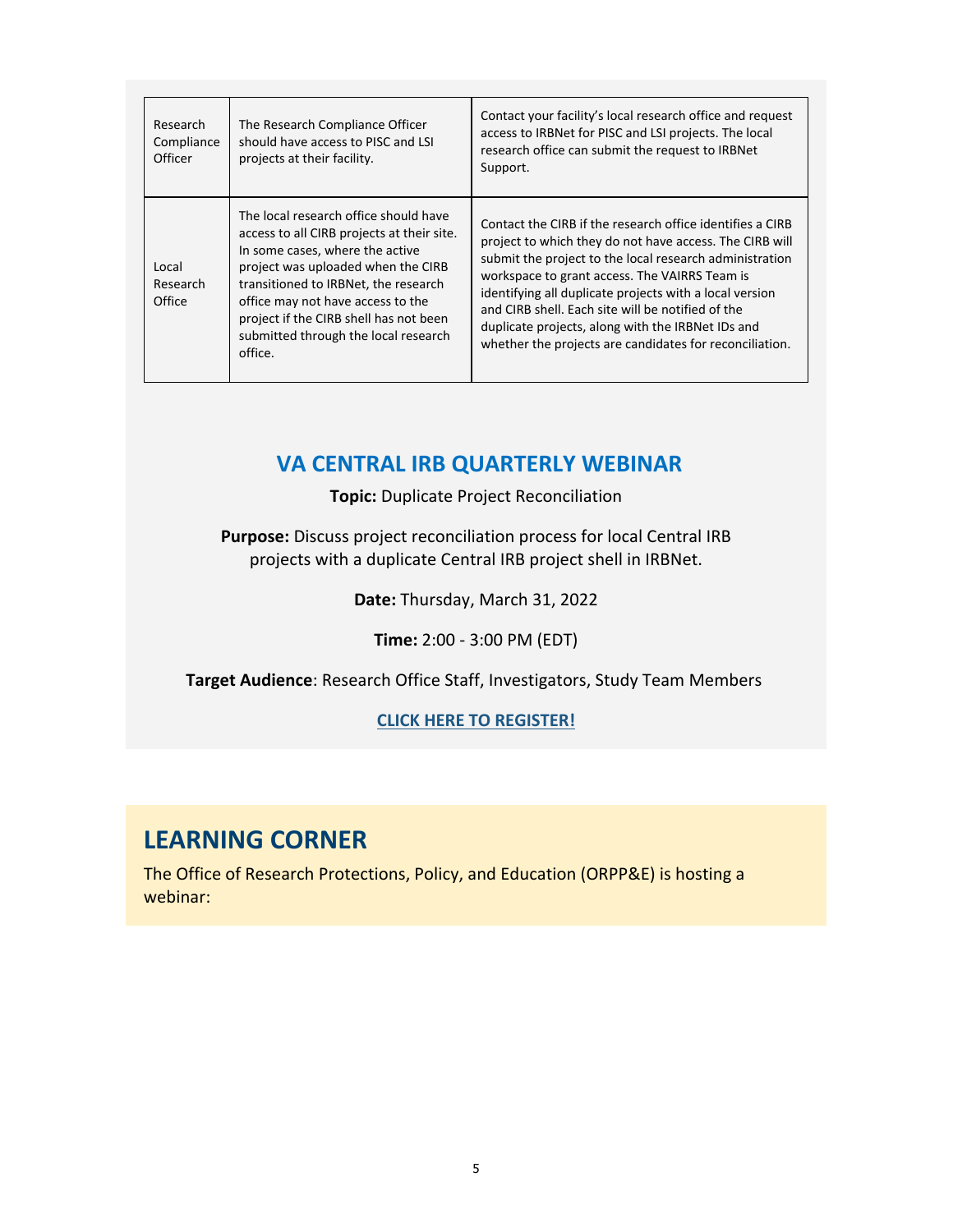| Research<br>Compliance<br>Officer | The Research Compliance Officer<br>should have access to PISC and LSI<br>projects at their facility.                                                                                                                                                                                                                                   | Contact your facility's local research office and request<br>access to IRBNet for PISC and LSI projects. The local<br>research office can submit the request to IRBNet<br>Support.                                                                                                                                                                                                                                                                               |
|-----------------------------------|----------------------------------------------------------------------------------------------------------------------------------------------------------------------------------------------------------------------------------------------------------------------------------------------------------------------------------------|------------------------------------------------------------------------------------------------------------------------------------------------------------------------------------------------------------------------------------------------------------------------------------------------------------------------------------------------------------------------------------------------------------------------------------------------------------------|
| Local<br>Research<br>Office       | The local research office should have<br>access to all CIRB projects at their site.<br>In some cases, where the active<br>project was uploaded when the CIRB<br>transitioned to IRBNet, the research<br>office may not have access to the<br>project if the CIRB shell has not been<br>submitted through the local research<br>office. | Contact the CIRB if the research office identifies a CIRB<br>project to which they do not have access. The CIRB will<br>submit the project to the local research administration<br>workspace to grant access. The VAIRRS Team is<br>identifying all duplicate projects with a local version<br>and CIRB shell. Each site will be notified of the<br>duplicate projects, along with the IRBNet IDs and<br>whether the projects are candidates for reconciliation. |

### **VA CENTRAL IRB QUARTERLY WEBINAR**

**Topic:** Duplicate Project Reconciliation

**Purpose:** Discuss project reconciliation process for local Central IRB projects with a duplicate Central IRB project shell in IRBNet.

**Date:** Thursday, March 31, 2022

**Time:** 2:00 ‐ 3:00 PM (EDT)

**Target Audience**: Research Office Staff, Investigators, Study Team Members

#### **CLICK HERE TO REGISTER!**

## **LEARNING CORNER**

The Office of Research Protections, Policy, and Education (ORPP&E) is hosting a webinar: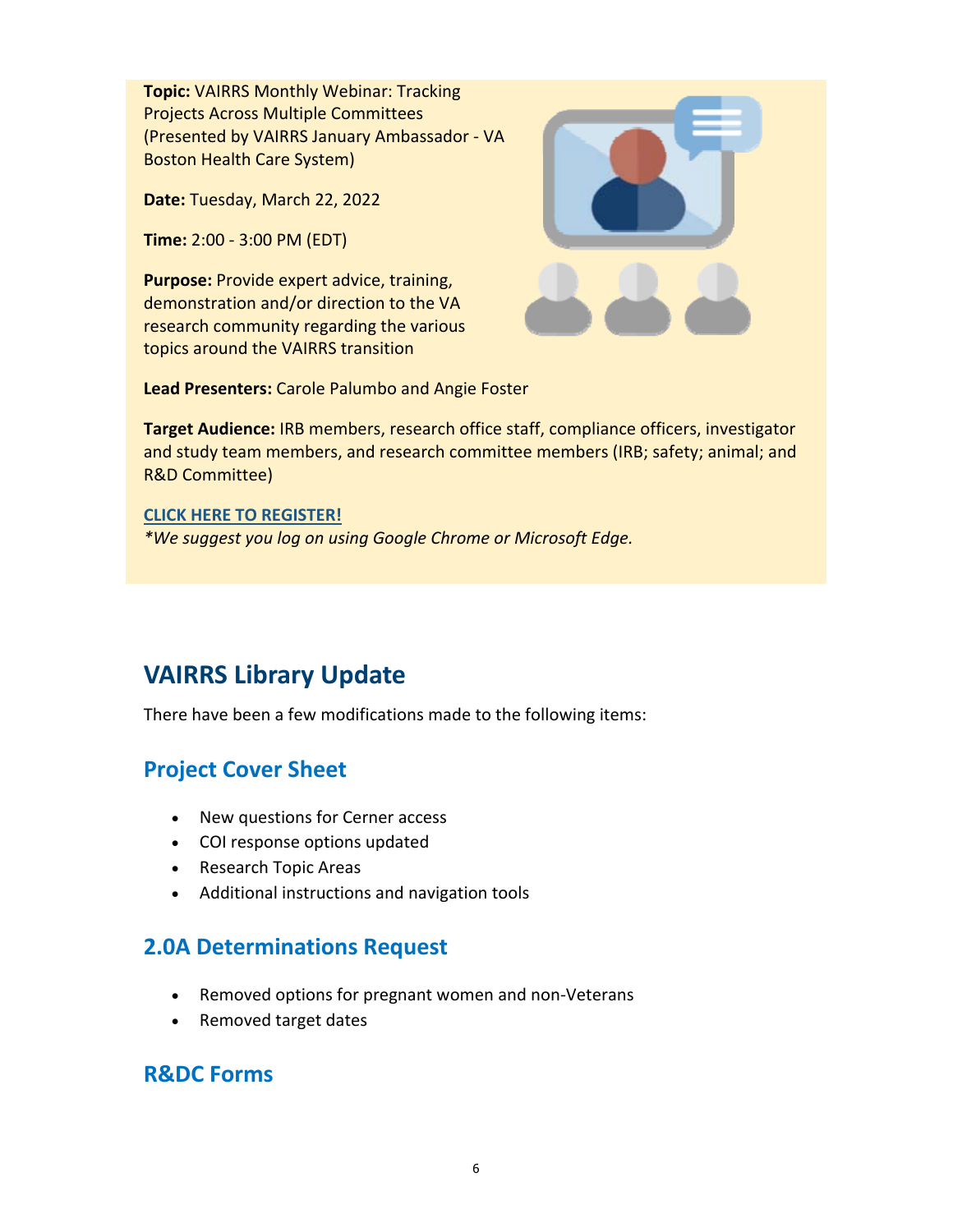**Topic:** VAIRRS Monthly Webinar: Tracking Projects Across Multiple Committees (Presented by VAIRRS January Ambassador ‐ VA Boston Health Care System)

**Date:** Tuesday, March 22, 2022

**Time:** 2:00 ‐ 3:00 PM (EDT)

**Purpose:** Provide expert advice, training, demonstration and/or direction to the VA research community regarding the various topics around the VAIRRS transition



**Lead Presenters:** Carole Palumbo and Angie Foster

**Target Audience:** IRB members, research office staff, compliance officers, investigator and study team members, and research committee members (IRB; safety; animal; and R&D Committee)

#### **CLICK HERE TO REGISTER!**

*\*We suggest you log on using Google Chrome or Microsoft Edge.*

# **VAIRRS Library Update**

There have been a few modifications made to the following items:

## **Project Cover Sheet**

- New questions for Cerner access
- COI response options updated
- Research Topic Areas
- Additional instructions and navigation tools

### **2.0A Determinations Request**

- Removed options for pregnant women and non-Veterans
- Removed target dates

### **R&DC Forms**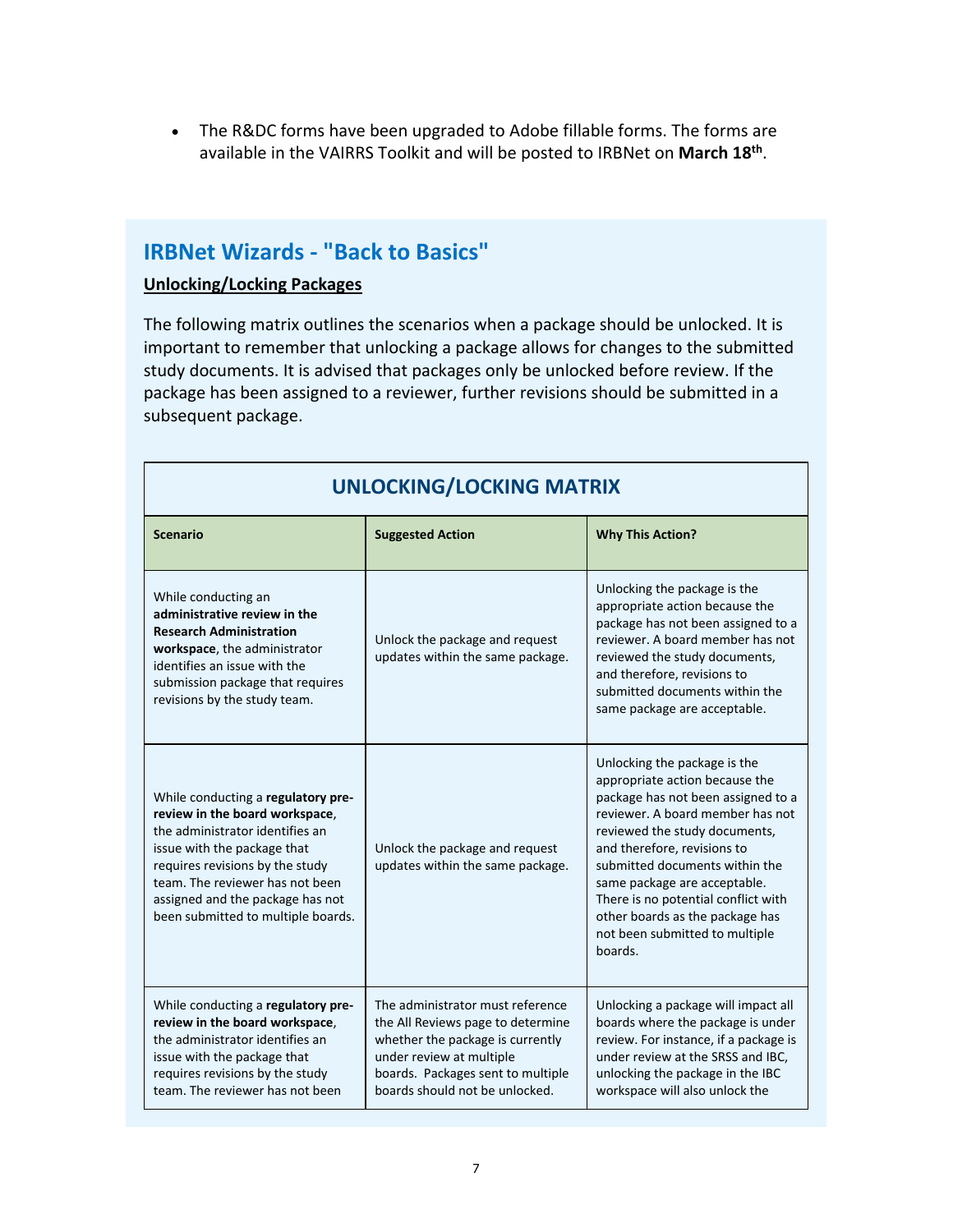• The R&DC forms have been upgraded to Adobe fillable forms. The forms are available in the VAIRRS Toolkit and will be posted to IRBNet on **March 18th**.

## **IRBNet Wizards ‐ "Back to Basics"**

#### **Unlocking/Locking Packages**

The following matrix outlines the scenarios when a package should be unlocked. It is important to remember that unlocking a package allows for changes to the submitted study documents. It is advised that packages only be unlocked before review. If the package has been assigned to a reviewer, further revisions should be submitted in a subsequent package.

| <b>Scenario</b>                                                                                                                                                                                                                                                                        | <b>Suggested Action</b>                                                                                                                                                                                      | <b>Why This Action?</b>                                                                                                                                                                                                                                                                                                                                                                           |  |  |  |
|----------------------------------------------------------------------------------------------------------------------------------------------------------------------------------------------------------------------------------------------------------------------------------------|--------------------------------------------------------------------------------------------------------------------------------------------------------------------------------------------------------------|---------------------------------------------------------------------------------------------------------------------------------------------------------------------------------------------------------------------------------------------------------------------------------------------------------------------------------------------------------------------------------------------------|--|--|--|
| While conducting an<br>administrative review in the<br><b>Research Administration</b><br>workspace, the administrator<br>identifies an issue with the<br>submission package that requires<br>revisions by the study team.                                                              | Unlock the package and request<br>updates within the same package.                                                                                                                                           | Unlocking the package is the<br>appropriate action because the<br>package has not been assigned to a<br>reviewer. A board member has not<br>reviewed the study documents,<br>and therefore, revisions to<br>submitted documents within the<br>same package are acceptable.                                                                                                                        |  |  |  |
| While conducting a regulatory pre-<br>review in the board workspace,<br>the administrator identifies an<br>issue with the package that<br>requires revisions by the study<br>team. The reviewer has not been<br>assigned and the package has not<br>been submitted to multiple boards. | Unlock the package and request<br>updates within the same package.                                                                                                                                           | Unlocking the package is the<br>appropriate action because the<br>package has not been assigned to a<br>reviewer. A board member has not<br>reviewed the study documents,<br>and therefore, revisions to<br>submitted documents within the<br>same package are acceptable.<br>There is no potential conflict with<br>other boards as the package has<br>not been submitted to multiple<br>boards. |  |  |  |
| While conducting a regulatory pre-<br>review in the board workspace,<br>the administrator identifies an<br>issue with the package that<br>requires revisions by the study<br>team. The reviewer has not been                                                                           | The administrator must reference<br>the All Reviews page to determine<br>whether the package is currently<br>under review at multiple<br>boards. Packages sent to multiple<br>boards should not be unlocked. | Unlocking a package will impact all<br>boards where the package is under<br>review. For instance, if a package is<br>under review at the SRSS and IBC,<br>unlocking the package in the IBC<br>workspace will also unlock the                                                                                                                                                                      |  |  |  |

### **UNLOCKING/LOCKING MATRIX**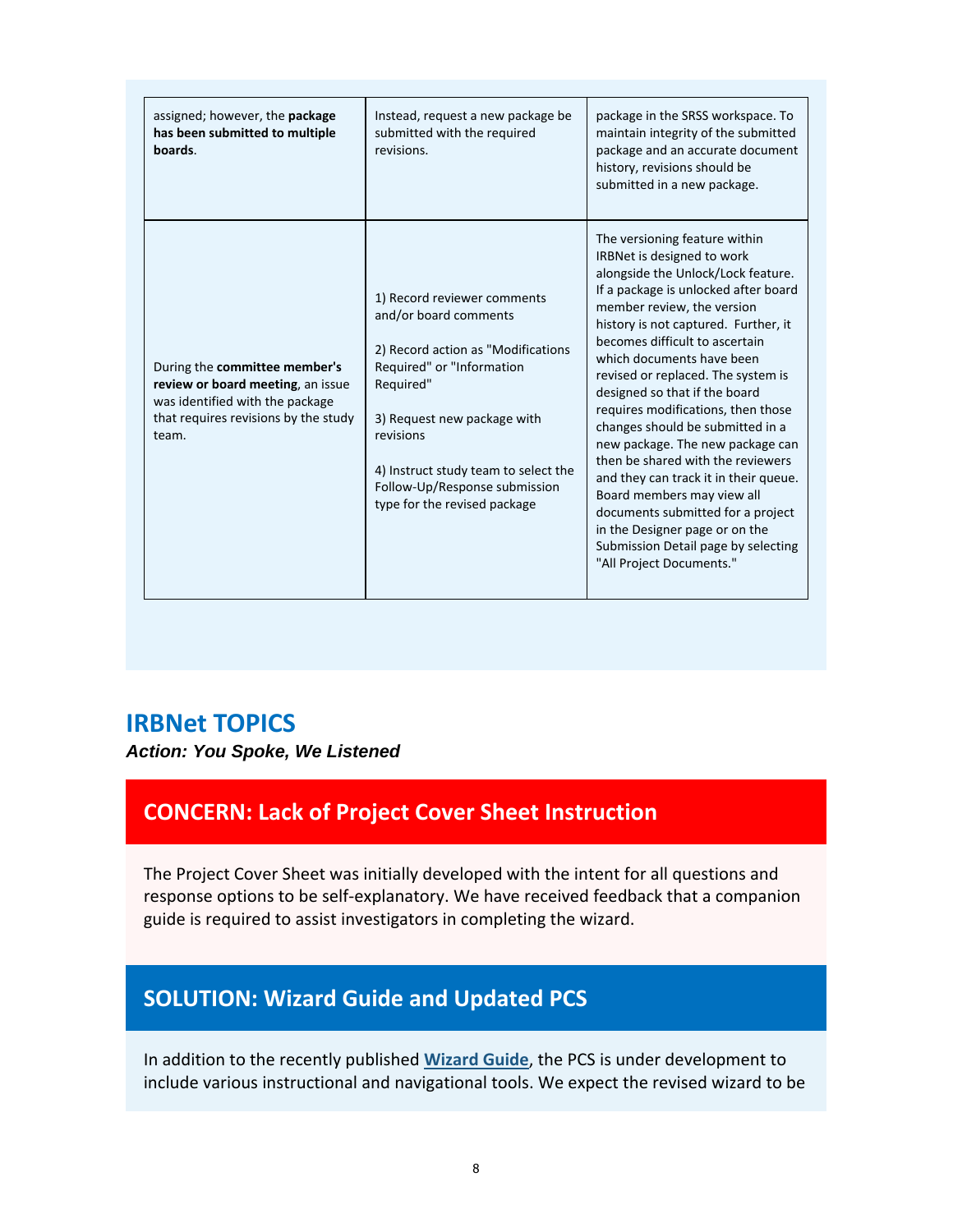| assigned; however, the <b>package</b><br>has been submitted to multiple<br>boards.                                                                     | Instead, request a new package be<br>submitted with the required<br>revisions.                                                                                                                                                                                                            | package in the SRSS workspace. To<br>maintain integrity of the submitted<br>package and an accurate document<br>history, revisions should be<br>submitted in a new package.                                                                                                                                                                                                                                                                                                                                                                                                                                                                                                                                               |
|--------------------------------------------------------------------------------------------------------------------------------------------------------|-------------------------------------------------------------------------------------------------------------------------------------------------------------------------------------------------------------------------------------------------------------------------------------------|---------------------------------------------------------------------------------------------------------------------------------------------------------------------------------------------------------------------------------------------------------------------------------------------------------------------------------------------------------------------------------------------------------------------------------------------------------------------------------------------------------------------------------------------------------------------------------------------------------------------------------------------------------------------------------------------------------------------------|
| During the committee member's<br>review or board meeting, an issue<br>was identified with the package<br>that requires revisions by the study<br>team. | 1) Record reviewer comments<br>and/or board comments<br>2) Record action as "Modifications<br>Required" or "Information<br>Required"<br>3) Request new package with<br>revisions<br>4) Instruct study team to select the<br>Follow-Up/Response submission<br>type for the revised package | The versioning feature within<br>IRBNet is designed to work<br>alongside the Unlock/Lock feature.<br>If a package is unlocked after board<br>member review, the version<br>history is not captured. Further, it<br>becomes difficult to ascertain<br>which documents have been<br>revised or replaced. The system is<br>designed so that if the board<br>requires modifications, then those<br>changes should be submitted in a<br>new package. The new package can<br>then be shared with the reviewers<br>and they can track it in their queue.<br>Board members may view all<br>documents submitted for a project<br>in the Designer page or on the<br>Submission Detail page by selecting<br>"All Project Documents." |

## **IRBNet TOPICS**

*Action: You Spoke, We Listened* 

## **CONCERN: Lack of Project Cover Sheet Instruction**

The Project Cover Sheet was initially developed with the intent for all questions and response options to be self‐explanatory. We have received feedback that a companion guide is required to assist investigators in completing the wizard.

## **SOLUTION: Wizard Guide and Updated PCS**

In addition to the recently published **Wizard Guide**, the PCS is under development to include various instructional and navigational tools. We expect the revised wizard to be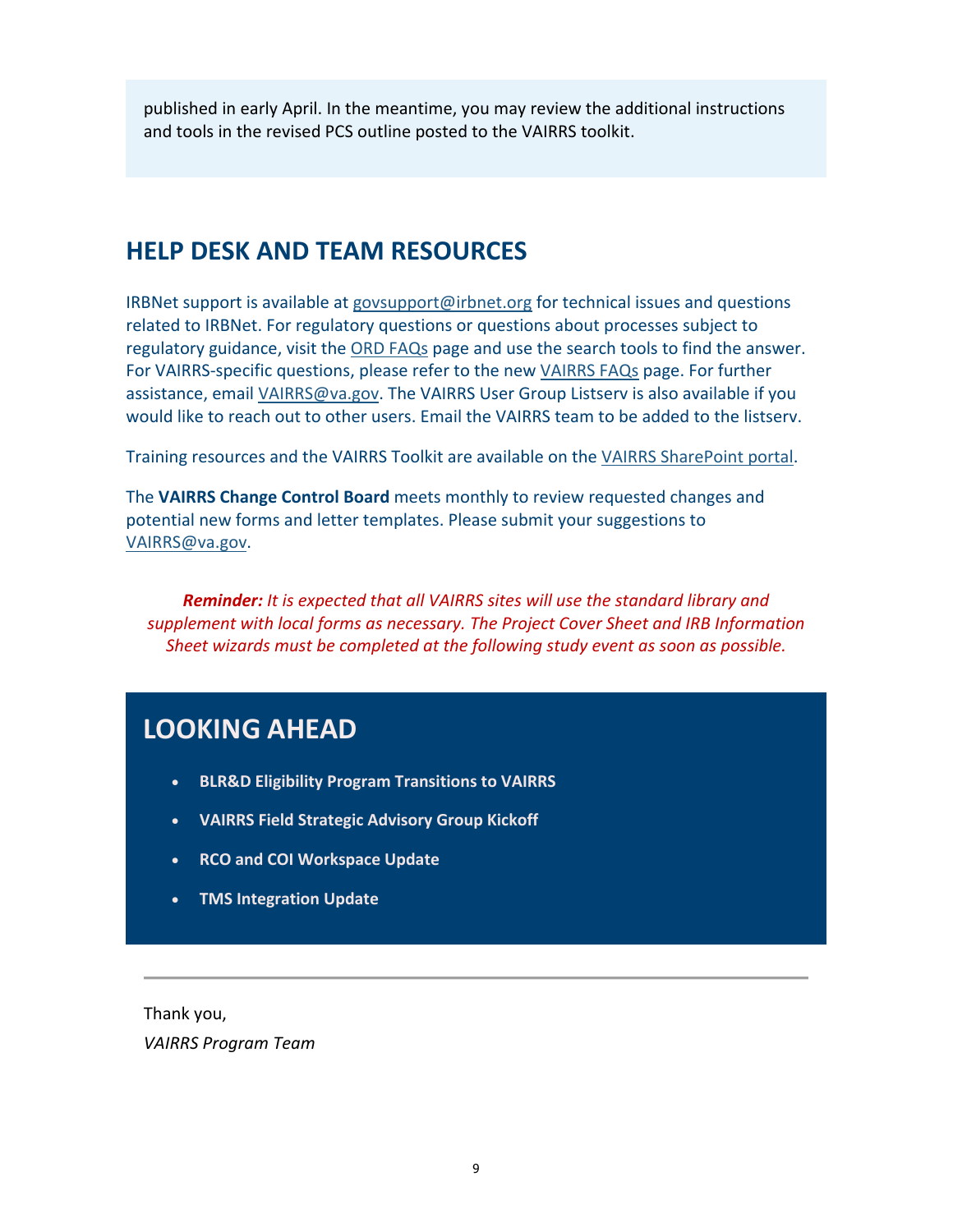published in early April. In the meantime, you may review the additional instructions and tools in the revised PCS outline posted to the VAIRRS toolkit.

# **HELP DESK AND TEAM RESOURCES**

IRBNet support is available at [govsupport@irbnet.org](mailto:govsupport@irbnet.org) for technical issues and questions related to IRBNet. For regulatory questions or questions about processes subject to regulatory guidance, visit the ORD FAQs page and use the search tools to find the answer. For VAIRRS-specific questions, please refer to the new VAIRRS FAQs page. For further assistance, email [VAIRRS@va.gov.](mailto:VAIRRS@va.gov) The VAIRRS User Group Listserv is also available if you would like to reach out to other users. Email the VAIRRS team to be added to the listserv.

Training resources and the VAIRRS Toolkit are available on the VAIRRS SharePoint portal.

The **VAIRRS Change Control Board** meets monthly to review requested changes and potential new forms and letter templates. Please submit your suggestions to [VAIRRS@va.gov.](mailto:VAIRRS@va.gov)

*Reminder: It is expected that all VAIRRS sites will use the standard library and supplement with local forms as necessary. The Project Cover Sheet and IRB Information Sheet wizards must be completed at the following study event as soon as possible.*

# **LOOKING AHEAD**

- **BLR&D Eligibility Program Transitions to VAIRRS**
- **VAIRRS Field Strategic Advisory Group Kickoff**
- **RCO and COI Workspace Update**
- **TMS Integration Update**

Thank you, *VAIRRS Program Team*